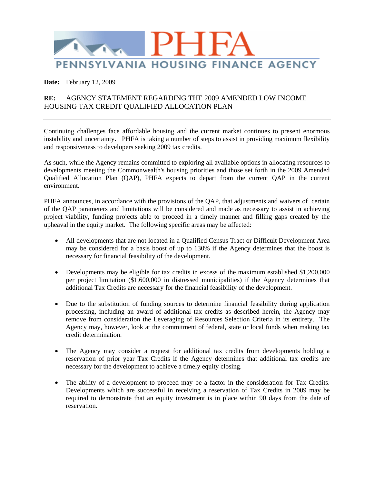

**Date:** February 12, 2009

## **RE:** AGENCY STATEMENT REGARDING THE 2009 AMENDED LOW INCOME HOUSING TAX CREDIT QUALIFIED ALLOCATION PLAN

Continuing challenges face affordable housing and the current market continues to present enormous instability and uncertainty. PHFA is taking a number of steps to assist in providing maximum flexibility and responsiveness to developers seeking 2009 tax credits.

As such, while the Agency remains committed to exploring all available options in allocating resources to developments meeting the Commonwealth's housing priorities and those set forth in the 2009 Amended Qualified Allocation Plan (QAP), PHFA expects to depart from the current QAP in the current environment.

PHFA announces, in accordance with the provisions of the QAP, that adjustments and waivers of certain of the QAP parameters and limitations will be considered and made as necessary to assist in achieving project viability, funding projects able to proceed in a timely manner and filling gaps created by the upheaval in the equity market. The following specific areas may be affected:

- All developments that are not located in a Qualified Census Tract or Difficult Development Area may be considered for a basis boost of up to 130% if the Agency determines that the boost is necessary for financial feasibility of the development.
- Developments may be eligible for tax credits in excess of the maximum established \$1,200,000 per project limitation (\$1,600,000 in distressed municipalities) if the Agency determines that additional Tax Credits are necessary for the financial feasibility of the development.
- Due to the substitution of funding sources to determine financial feasibility during application processing, including an award of additional tax credits as described herein, the Agency may remove from consideration the Leveraging of Resources Selection Criteria in its entirety. The Agency may, however, look at the commitment of federal, state or local funds when making tax credit determination.
- The Agency may consider a request for additional tax credits from developments holding a reservation of prior year Tax Credits if the Agency determines that additional tax credits are necessary for the development to achieve a timely equity closing.
- The ability of a development to proceed may be a factor in the consideration for Tax Credits. Developments which are successful in receiving a reservation of Tax Credits in 2009 may be required to demonstrate that an equity investment is in place within 90 days from the date of reservation.